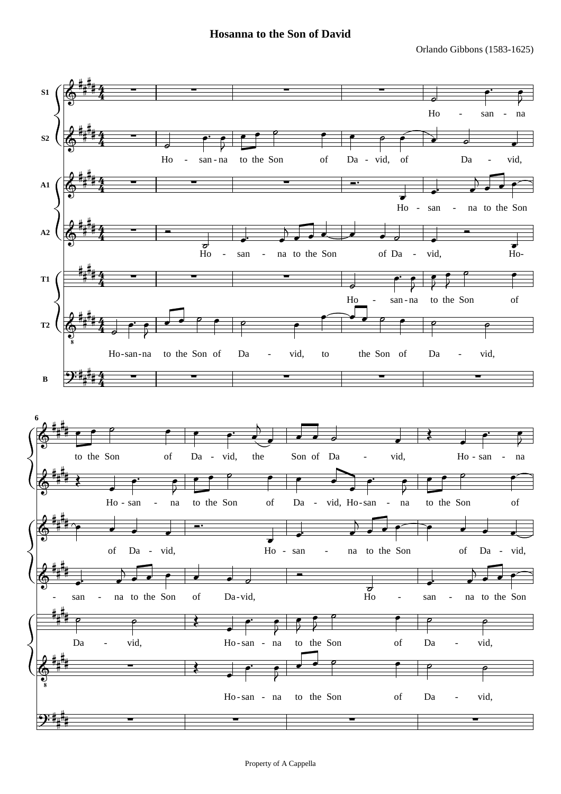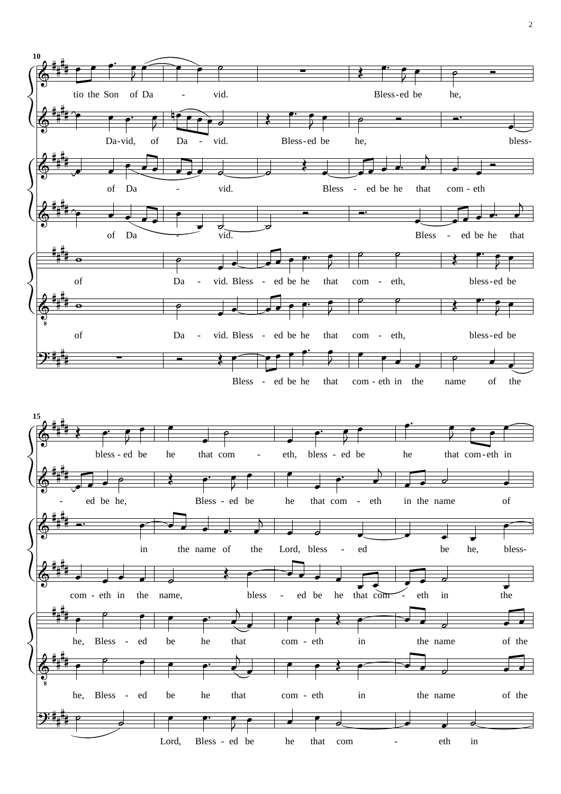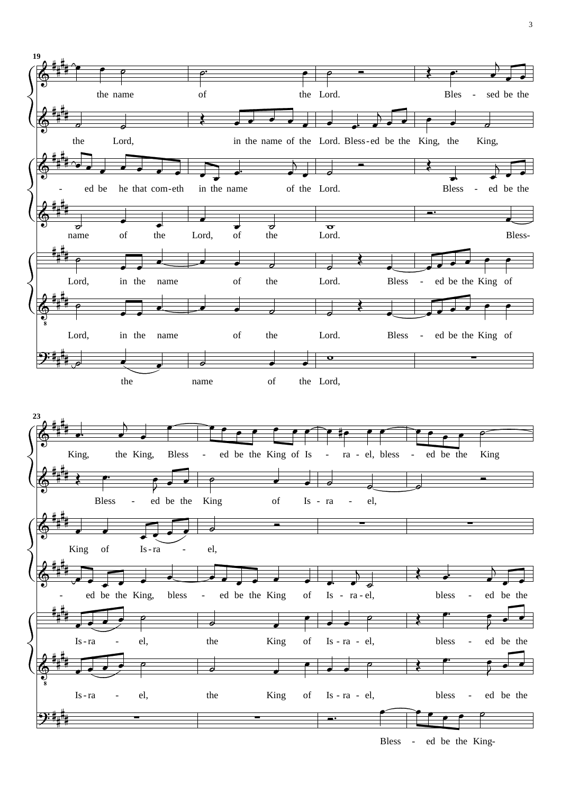

Bless - ed be the King-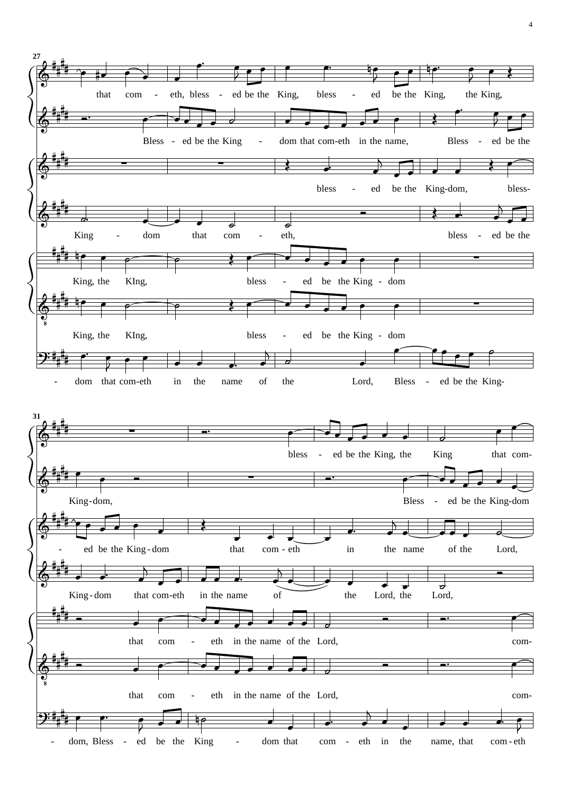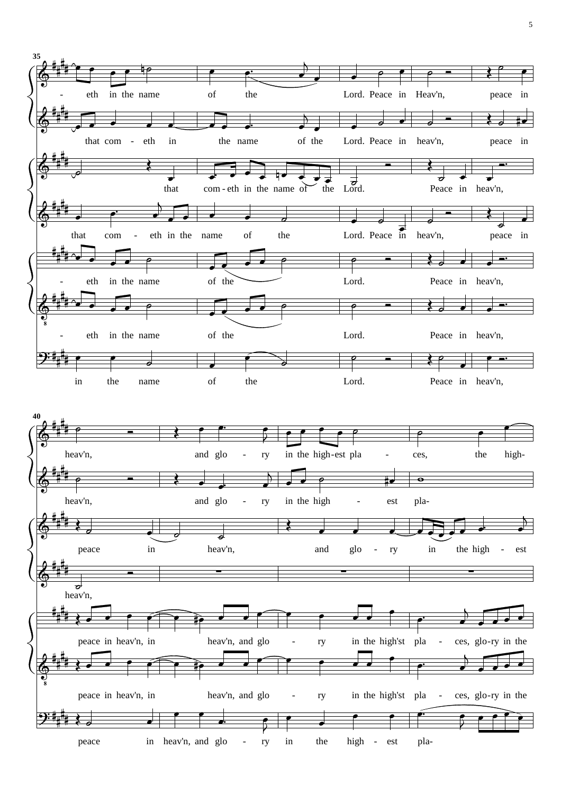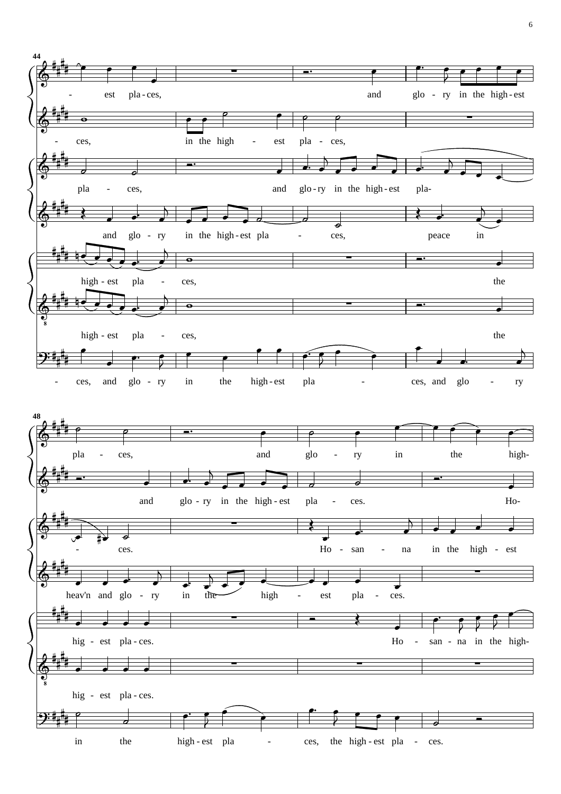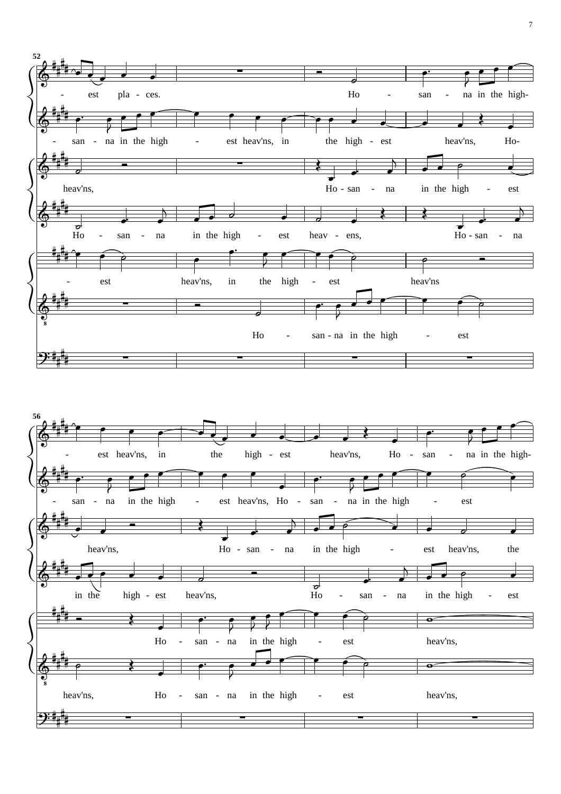